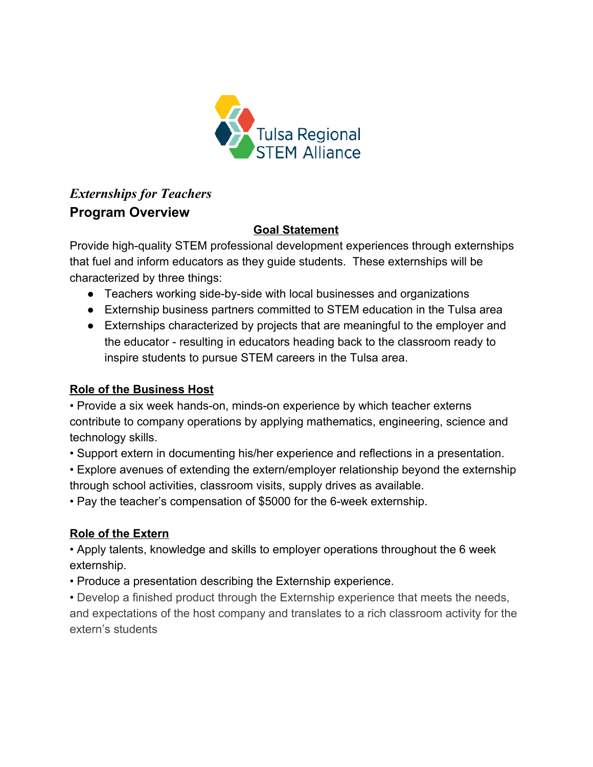

## *Externships for Teachers*  **Program Overview**

#### **Goal Statement**

Provide high-quality STEM professional development experiences through externships that fuel and inform educators as they guide students. These externships will be characterized by three things:

- Teachers working side-by-side with local businesses and organizations
- Externship business partners committed to STEM education in the Tulsa area
- Externships characterized by projects that are meaningful to the employer and the educator - resulting in educators heading back to the classroom ready to inspire students to pursue STEM careers in the Tulsa area.

#### **Role of the Business Host**

• Provide a six week hands-on, minds-on experience by which teacher externs contribute to company operations by applying mathematics, engineering, science and technology skills.

• Support extern in documenting his/her experience and reflections in a presentation.

• Explore avenues of extending the extern/employer relationship beyond the externship through school activities, classroom visits, supply drives as available.

• Pay the teacher's compensation of \$5000 for the 6-week externship.

#### **Role of the Extern**

• Apply talents, knowledge and skills to employer operations throughout the 6 week externship.

• Produce a presentation describing the Externship experience.

• Develop a finished product through the Externship experience that meets the needs, and expectations of the host company and translates to a rich classroom activity for the extern's students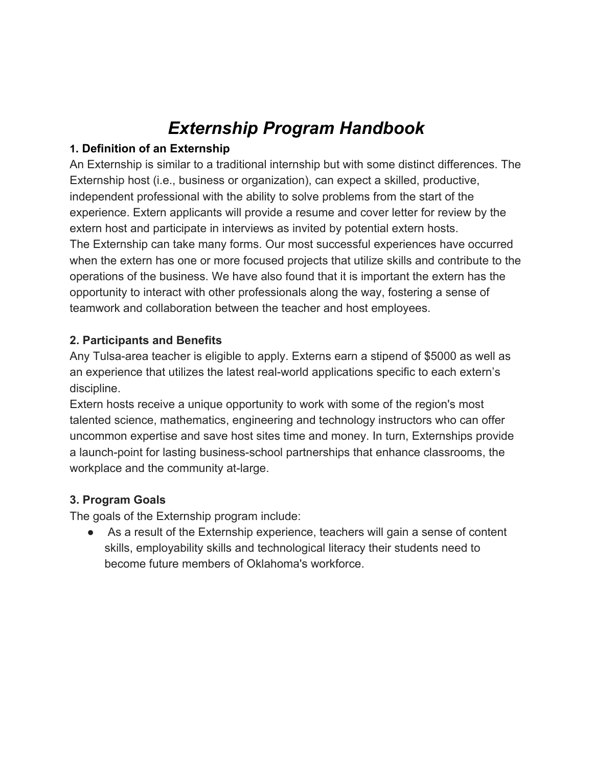## *Externship Program Handbook*

#### **1. Definition of an Externship**

An Externship is similar to a traditional internship but with some distinct differences. The Externship host (i.e., business or organization), can expect a skilled, productive, independent professional with the ability to solve problems from the start of the experience. Extern applicants will provide a resume and cover letter for review by the extern host and participate in interviews as invited by potential extern hosts. The Externship can take many forms. Our most successful experiences have occurred when the extern has one or more focused projects that utilize skills and contribute to the operations of the business. We have also found that it is important the extern has the opportunity to interact with other professionals along the way, fostering a sense of teamwork and collaboration between the teacher and host employees.

#### **2. Participants and Benefits**

Any Tulsa-area teacher is eligible to apply. Externs earn a stipend of \$5000 as well as an experience that utilizes the latest real-world applications specific to each extern's discipline.

Extern hosts receive a unique opportunity to work with some of the region's most talented science, mathematics, engineering and technology instructors who can offer uncommon expertise and save host sites time and money. In turn, Externships provide a launch-point for lasting business-school partnerships that enhance classrooms, the workplace and the community at-large.

#### **3. Program Goals**

The goals of the Externship program include:

● As a result of the Externship experience, teachers will gain a sense of content skills, employability skills and technological literacy their students need to become future members of Oklahoma's workforce.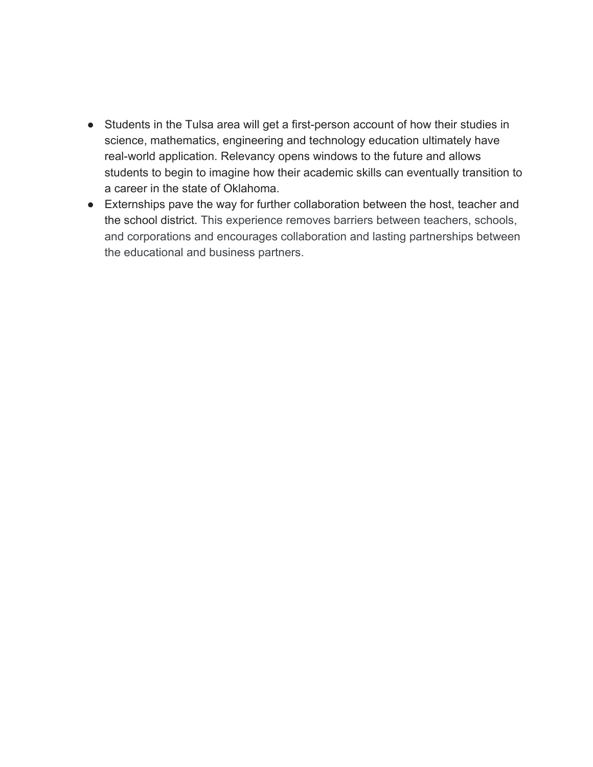- Students in the Tulsa area will get a first-person account of how their studies in science, mathematics, engineering and technology education ultimately have real-world application. Relevancy opens windows to the future and allows students to begin to imagine how their academic skills can eventually transition to a career in the state of Oklahoma.
- Externships pave the way for further collaboration between the host, teacher and the school district. This experience removes barriers between teachers, schools, and corporations and encourages collaboration and lasting partnerships between the educational and business partners.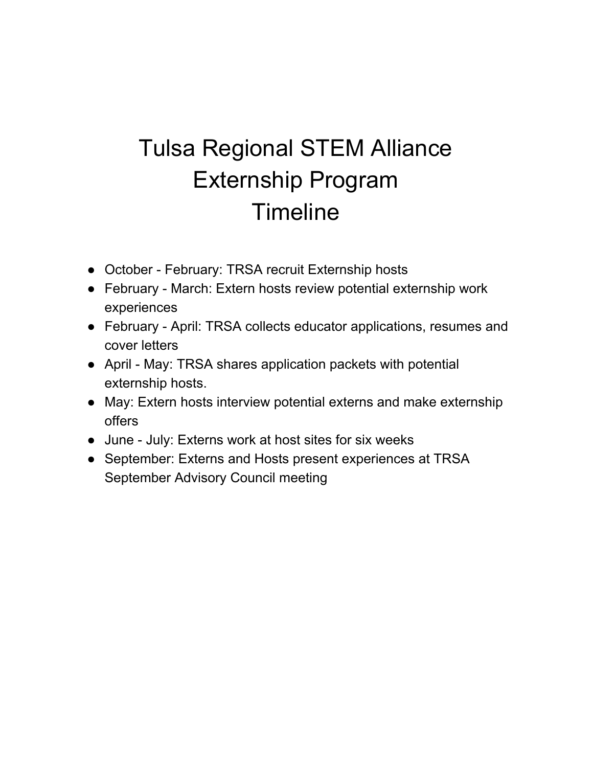# Tulsa Regional STEM Alliance Externship Program Timeline

- October February: TRSA recruit Externship hosts
- February March: Extern hosts review potential externship work experiences
- February April: TRSA collects educator applications, resumes and cover letters
- April May: TRSA shares application packets with potential externship hosts.
- May: Extern hosts interview potential externs and make externship offers
- June July: Externs work at host sites for six weeks
- September: Externs and Hosts present experiences at TRSA September Advisory Council meeting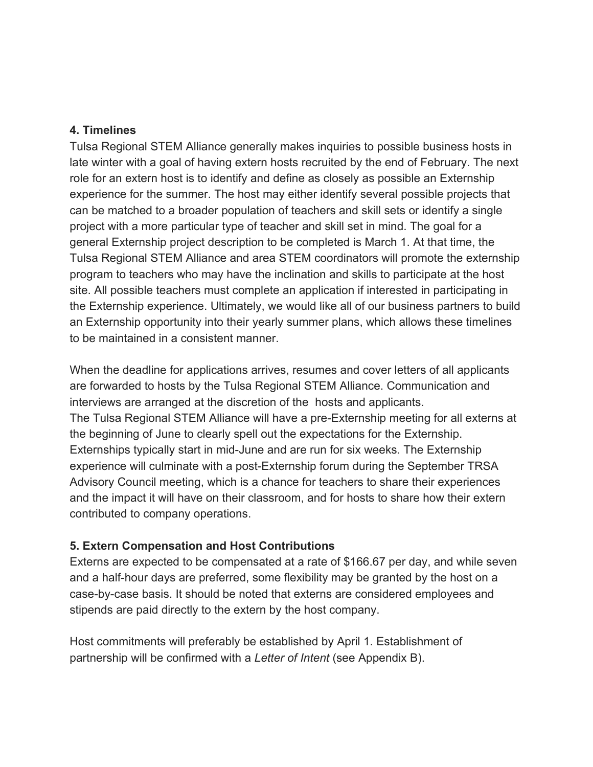#### **4. Timelines**

Tulsa Regional STEM Alliance generally makes inquiries to possible business hosts in late winter with a goal of having extern hosts recruited by the end of February. The next role for an extern host is to identify and define as closely as possible an Externship experience for the summer. The host may either identify several possible projects that can be matched to a broader population of teachers and skill sets or identify a single project with a more particular type of teacher and skill set in mind. The goal for a general Externship project description to be completed is March 1. At that time, the Tulsa Regional STEM Alliance and area STEM coordinators will promote the externship program to teachers who may have the inclination and skills to participate at the host site. All possible teachers must complete an application if interested in participating in the Externship experience. Ultimately, we would like all of our business partners to build an Externship opportunity into their yearly summer plans, which allows these timelines to be maintained in a consistent manner.

When the deadline for applications arrives, resumes and cover letters of all applicants are forwarded to hosts by the Tulsa Regional STEM Alliance. Communication and interviews are arranged at the discretion of the hosts and applicants. The Tulsa Regional STEM Alliance will have a pre-Externship meeting for all externs at the beginning of June to clearly spell out the expectations for the Externship. Externships typically start in mid-June and are run for six weeks. The Externship experience will culminate with a post-Externship forum during the September TRSA Advisory Council meeting, which is a chance for teachers to share their experiences and the impact it will have on their classroom, and for hosts to share how their extern contributed to company operations.

#### **5. Extern Compensation and Host Contributions**

Externs are expected to be compensated at a rate of \$166.67 per day, and while seven and a half-hour days are preferred, some flexibility may be granted by the host on a case-by-case basis. It should be noted that externs are considered employees and stipends are paid directly to the extern by the host company.

Host commitments will preferably be established by April 1. Establishment of partnership will be confirmed with a *Letter of Intent* (see Appendix B).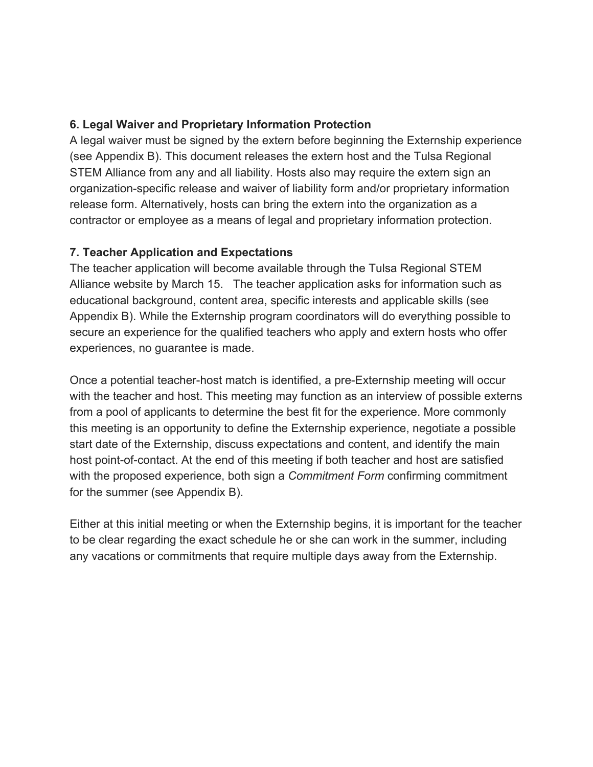#### **6. Legal Waiver and Proprietary Information Protection**

A legal waiver must be signed by the extern before beginning the Externship experience (see Appendix B). This document releases the extern host and the Tulsa Regional STEM Alliance from any and all liability. Hosts also may require the extern sign an organization-specific release and waiver of liability form and/or proprietary information release form. Alternatively, hosts can bring the extern into the organization as a contractor or employee as a means of legal and proprietary information protection.

#### **7. Teacher Application and Expectations**

The teacher application will become available through the Tulsa Regional STEM Alliance website by March 15. The teacher application asks for information such as educational background, content area, specific interests and applicable skills (see Appendix B). While the Externship program coordinators will do everything possible to secure an experience for the qualified teachers who apply and extern hosts who offer experiences, no guarantee is made.

Once a potential teacher-host match is identified, a pre-Externship meeting will occur with the teacher and host. This meeting may function as an interview of possible externs from a pool of applicants to determine the best fit for the experience. More commonly this meeting is an opportunity to define the Externship experience, negotiate a possible start date of the Externship, discuss expectations and content, and identify the main host point-of-contact. At the end of this meeting if both teacher and host are satisfied with the proposed experience, both sign a *Commitment Form* confirming commitment for the summer (see Appendix B).

Either at this initial meeting or when the Externship begins, it is important for the teacher to be clear regarding the exact schedule he or she can work in the summer, including any vacations or commitments that require multiple days away from the Externship.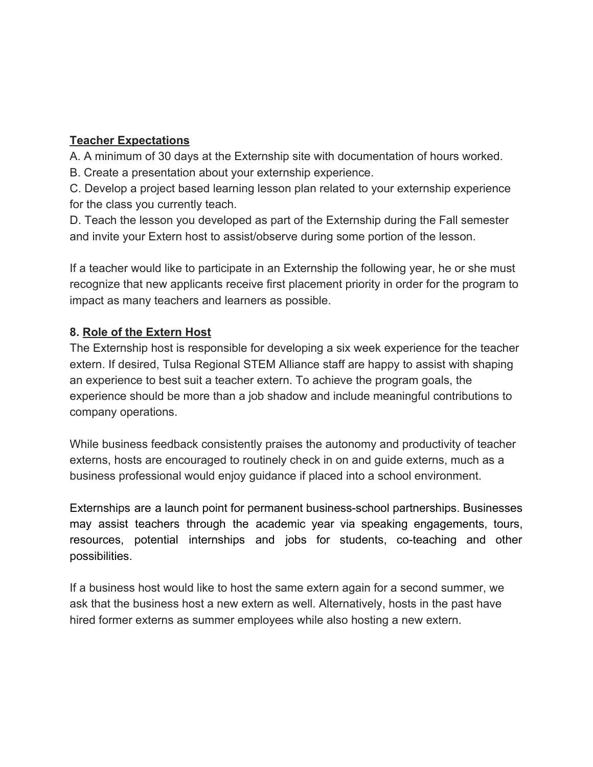#### **Teacher Expectations**

A. A minimum of 30 days at the Externship site with documentation of hours worked.

B. Create a presentation about your externship experience.

C. Develop a project based learning lesson plan related to your externship experience for the class you currently teach.

D. Teach the lesson you developed as part of the Externship during the Fall semester and invite your Extern host to assist/observe during some portion of the lesson.

If a teacher would like to participate in an Externship the following year, he or she must recognize that new applicants receive first placement priority in order for the program to impact as many teachers and learners as possible.

#### **8. Role of the Extern Host**

The Externship host is responsible for developing a six week experience for the teacher extern. If desired, Tulsa Regional STEM Alliance staff are happy to assist with shaping an experience to best suit a teacher extern. To achieve the program goals, the experience should be more than a job shadow and include meaningful contributions to company operations.

While business feedback consistently praises the autonomy and productivity of teacher externs, hosts are encouraged to routinely check in on and guide externs, much as a business professional would enjoy guidance if placed into a school environment.

Externships are a launch point for permanent business-school partnerships. Businesses may assist teachers through the academic year via speaking engagements, tours, resources, potential internships and jobs for students, co-teaching and other possibilities.

If a business host would like to host the same extern again for a second summer, we ask that the business host a new extern as well. Alternatively, hosts in the past have hired former externs as summer employees while also hosting a new extern.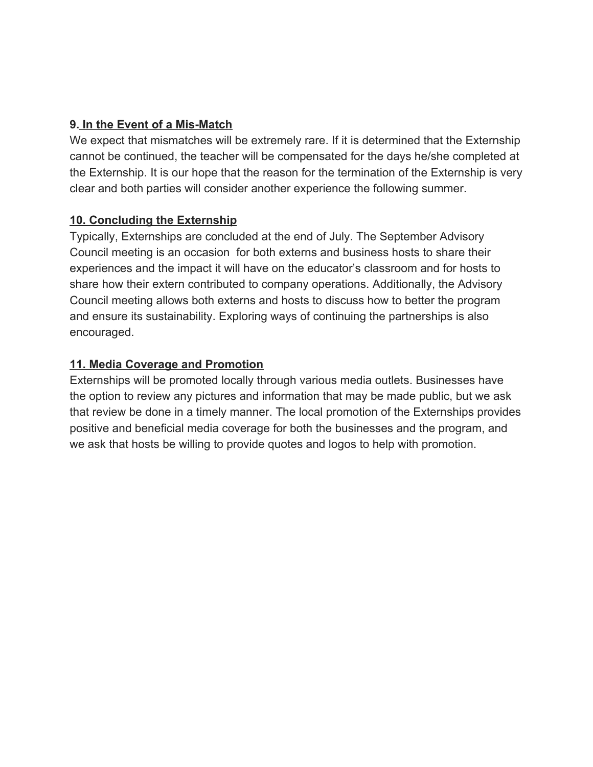#### **9. In the Event of a Mis-Match**

We expect that mismatches will be extremely rare. If it is determined that the Externship cannot be continued, the teacher will be compensated for the days he/she completed at the Externship. It is our hope that the reason for the termination of the Externship is very clear and both parties will consider another experience the following summer.

#### **10. Concluding the Externship**

Typically, Externships are concluded at the end of July. The September Advisory Council meeting is an occasion for both externs and business hosts to share their experiences and the impact it will have on the educator's classroom and for hosts to share how their extern contributed to company operations. Additionally, the Advisory Council meeting allows both externs and hosts to discuss how to better the program and ensure its sustainability. Exploring ways of continuing the partnerships is also encouraged.

#### **11. Media Coverage and Promotion**

Externships will be promoted locally through various media outlets. Businesses have the option to review any pictures and information that may be made public, but we ask that review be done in a timely manner. The local promotion of the Externships provides positive and beneficial media coverage for both the businesses and the program, and we ask that hosts be willing to provide quotes and logos to help with promotion.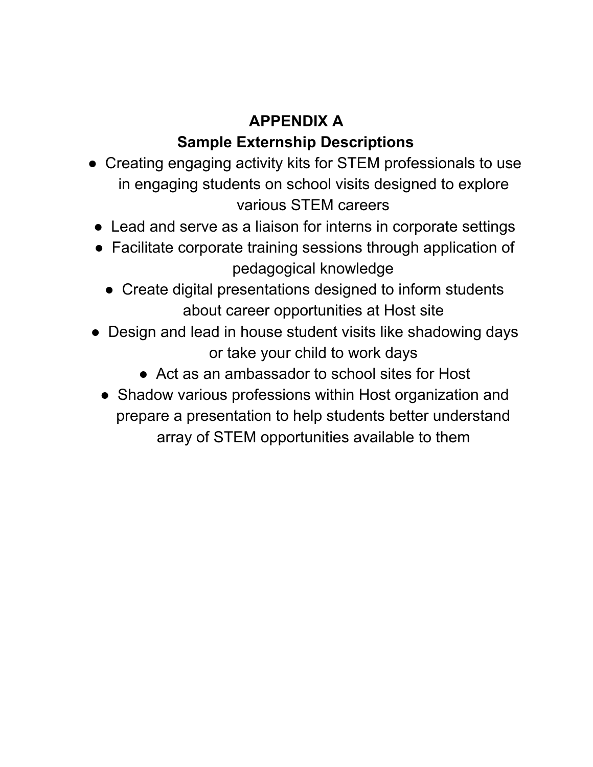## **APPENDIX A Sample Externship Descriptions**

- **●** Creating engaging activity kits for STEM professionals to use in engaging students on school visits designed to explore various STEM careers
- Lead and serve as a liaison for interns in corporate settings
- Facilitate corporate training sessions through application of pedagogical knowledge
	- Create digital presentations designed to inform students about career opportunities at Host site
- Design and lead in house student visits like shadowing days or take your child to work days
	- Act as an ambassador to school sites for Host
	- Shadow various professions within Host organization and prepare a presentation to help students better understand array of STEM opportunities available to them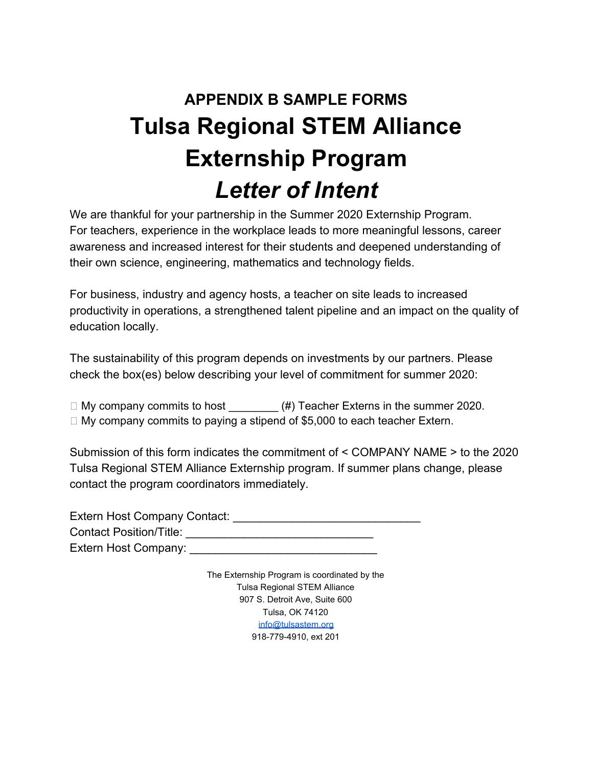# **APPENDIX B SAMPLE FORMS Tulsa Regional STEM Alliance Externship Program**  *Letter of Intent*

We are thankful for your partnership in the Summer 2020 Externship Program. For teachers, experience in the workplace leads to more meaningful lessons, career awareness and increased interest for their students and deepened understanding of their own science, engineering, mathematics and technology fields.

For business, industry and agency hosts, a teacher on site leads to increased productivity in operations, a strengthened talent pipeline and an impact on the quality of education locally.

The sustainability of this program depends on investments by our partners. Please check the box(es) below describing your level of commitment for summer 2020:

 $\Box$  My company commits to host  $(\#)$  Teacher Externs in the summer 2020.

 $\Box$  My company commits to paying a stipend of \$5,000 to each teacher Extern.

Submission of this form indicates the commitment of < COMPANY NAME > to the 2020 Tulsa Regional STEM Alliance Externship program. If summer plans change, please contact the program coordinators immediately.

Extern Host Company Contact: **Extern Host Company** Contact Position/Title: \_\_\_\_\_\_\_\_\_\_\_\_\_\_\_\_\_\_\_\_\_\_\_\_\_\_\_\_\_ Extern Host Company: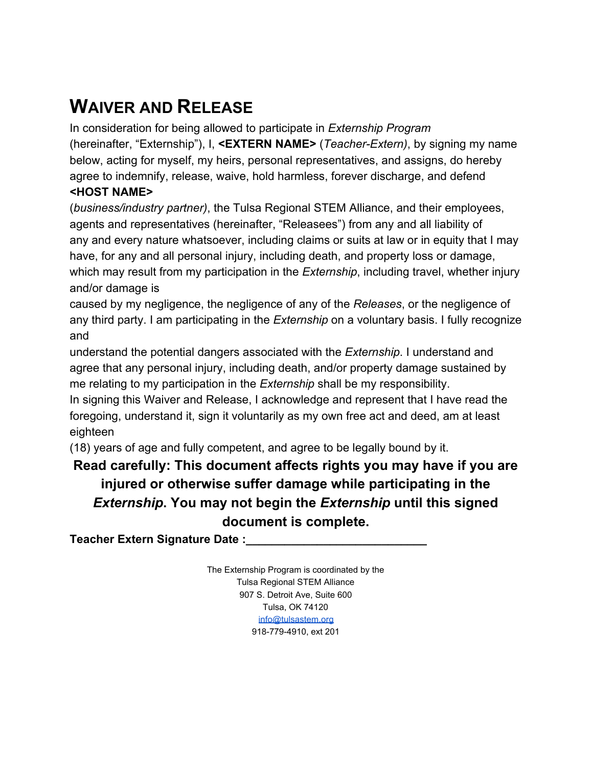# **WAIVER AND RELEASE**

In consideration for being allowed to participate in *Externship Program*  (hereinafter, "Externship"), I, **<EXTERN NAME>** (*Teacher-Extern)*, by signing my name below, acting for myself, my heirs, personal representatives, and assigns, do hereby agree to indemnify, release, waive, hold harmless, forever discharge, and defend **<HOST NAME>** 

(*business/industry partner)*, the Tulsa Regional STEM Alliance, and their employees, agents and representatives (hereinafter, "Releasees") from any and all liability of any and every nature whatsoever, including claims or suits at law or in equity that I may have, for any and all personal injury, including death, and property loss or damage, which may result from my participation in the *Externship*, including travel, whether injury and/or damage is

caused by my negligence, the negligence of any of the *Releases*, or the negligence of any third party. I am participating in the *Externship* on a voluntary basis. I fully recognize and

understand the potential dangers associated with the *Externship*. I understand and agree that any personal injury, including death, and/or property damage sustained by me relating to my participation in the *Externship* shall be my responsibility.

In signing this Waiver and Release, I acknowledge and represent that I have read the foregoing, understand it, sign it voluntarily as my own free act and deed, am at least eighteen

(18) years of age and fully competent, and agree to be legally bound by it.

## **Read carefully: This document affects rights you may have if you are injured or otherwise suffer damage while participating in the**  *Externship***. You may not begin the** *Externship* **until this signed document is complete.**

**Teacher Extern Signature Date:**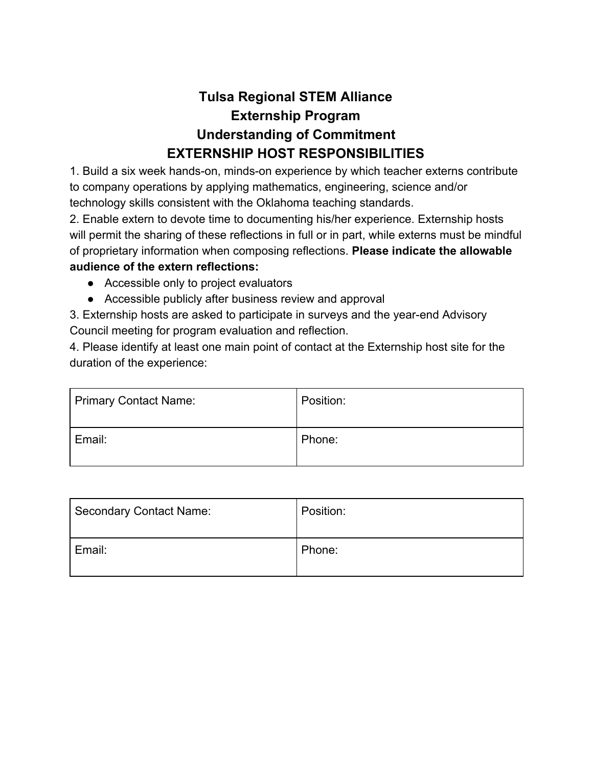## **Tulsa Regional STEM Alliance Externship Program Understanding of Commitment EXTERNSHIP HOST RESPONSIBILITIES**

1. Build a six week hands-on, minds-on experience by which teacher externs contribute to company operations by applying mathematics, engineering, science and/or technology skills consistent with the Oklahoma teaching standards.

2. Enable extern to devote time to documenting his/her experience. Externship hosts will permit the sharing of these reflections in full or in part, while externs must be mindful of proprietary information when composing reflections. **Please indicate the allowable audience of the extern reflections:** 

- Accessible only to project evaluators
- Accessible publicly after business review and approval

3. Externship hosts are asked to participate in surveys and the year-end Advisory Council meeting for program evaluation and reflection.

4. Please identify at least one main point of contact at the Externship host site for the duration of the experience:

| Primary Contact Name: | Position: |
|-----------------------|-----------|
| Email:                | Phone:    |

| <b>Secondary Contact Name:</b> | Position: |
|--------------------------------|-----------|
| Email:                         | Phone:    |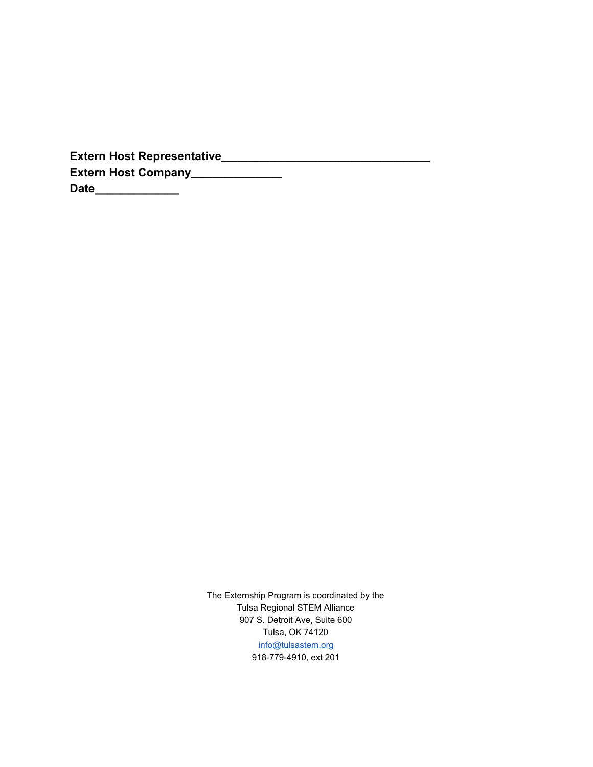| <b>Extern Host Representative</b> |
|-----------------------------------|
| <b>Extern Host Company</b>        |
| <b>Date</b>                       |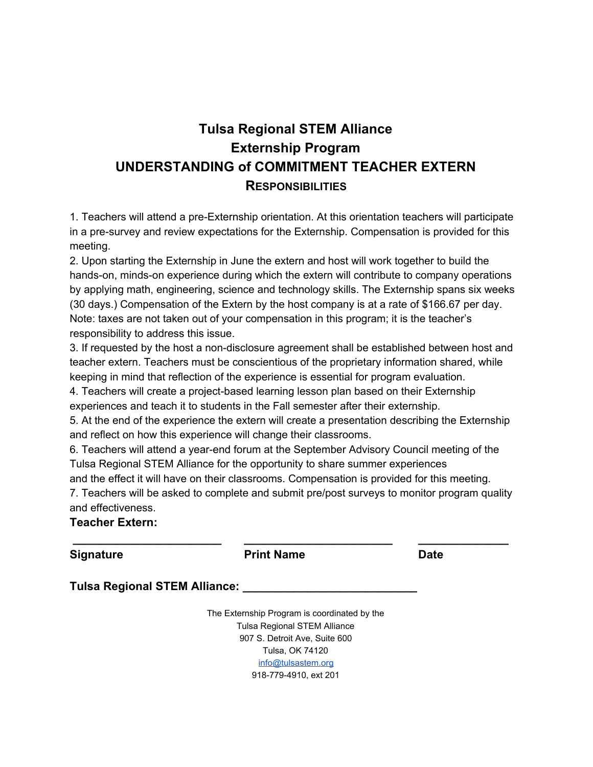## **Tulsa Regional STEM Alliance Externship Program UNDERSTANDING of COMMITMENT TEACHER EXTERN RESPONSIBILITIES**

1. Teachers will attend a pre-Externship orientation. At this orientation teachers will participate in a pre-survey and review expectations for the Externship. Compensation is provided for this meeting.

2. Upon starting the Externship in June the extern and host will work together to build the hands-on, minds-on experience during which the extern will contribute to company operations by applying math, engineering, science and technology skills. The Externship spans six weeks (30 days.) Compensation of the Extern by the host company is at a rate of \$166.67 per day. Note: taxes are not taken out of your compensation in this program; it is the teacher's responsibility to address this issue.

3. If requested by the host a non-disclosure agreement shall be established between host and teacher extern. Teachers must be conscientious of the proprietary information shared, while keeping in mind that reflection of the experience is essential for program evaluation.

4. Teachers will create a project-based learning lesson plan based on their Externship experiences and teach it to students in the Fall semester after their externship.

5. At the end of the experience the extern will create a presentation describing the Externship and reflect on how this experience will change their classrooms.

6. Teachers will attend a year-end forum at the September Advisory Council meeting of the Tulsa Regional STEM Alliance for the opportunity to share summer experiences and the effect it will have on their classrooms. Compensation is provided for this meeting. 7. Teachers will be asked to complete and submit pre/post surveys to monitor program quality and effectiveness.

 **\_\_\_\_\_\_\_\_\_\_\_\_\_\_\_\_\_\_\_\_\_\_\_ \_\_\_\_\_\_\_\_\_\_\_\_\_\_\_\_\_\_\_\_\_\_\_ \_\_\_\_\_\_\_\_\_\_\_\_\_\_** 

**Teacher Extern:** 

**Signature Date Print Name Date Date** 

**Tulsa Regional STEM Alliance:**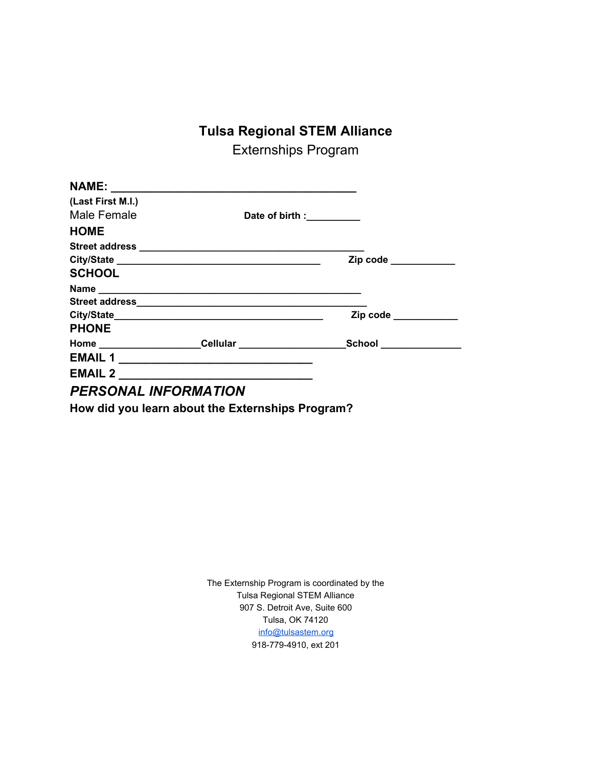## **Tulsa Regional STEM Alliance**

Externships Program

| (Last First M.I.)           |                           |                      |
|-----------------------------|---------------------------|----------------------|
| Male Female                 | Date of birth :__________ |                      |
| <b>HOME</b>                 |                           |                      |
|                             |                           |                      |
|                             |                           | Zip code ___________ |
| <b>SCHOOL</b>               |                           |                      |
|                             |                           |                      |
|                             |                           |                      |
|                             |                           | Zip code ___________ |
| <b>PHONE</b>                |                           |                      |
| Home Cellular               |                           | <b>School School</b> |
| <b>EMAIL1</b>               |                           |                      |
| <b>EMAIL 2</b>              |                           |                      |
| <b>PERSONAL INFORMATION</b> |                           |                      |

**How did you learn about the Externships Program?**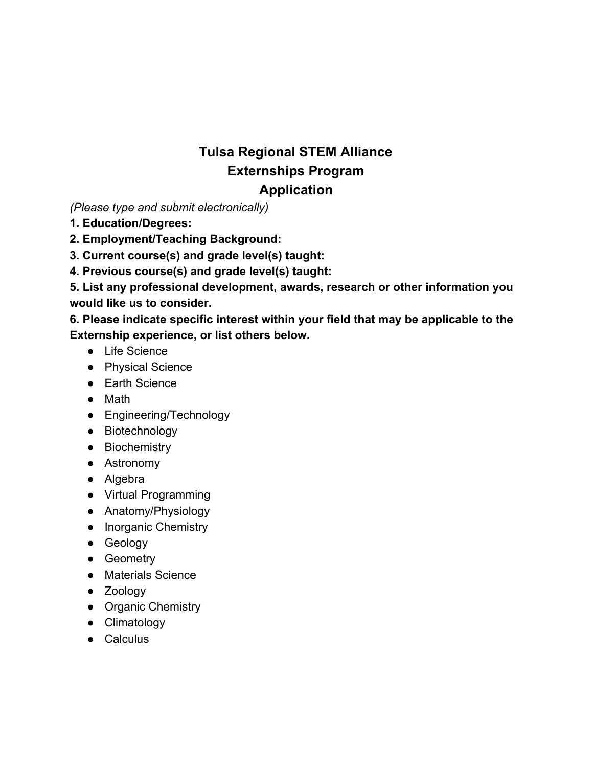## **Tulsa Regional STEM Alliance Externships Program Application**

*(Please type and submit electronically)* 

- **1. Education/Degrees:**
- **2. Employment/Teaching Background:**
- **3. Current course(s) and grade level(s) taught:**
- **4. Previous course(s) and grade level(s) taught:**

**5. List any professional development, awards, research or other information you would like us to consider.** 

**6. Please indicate specific interest within your field that may be applicable to the Externship experience, or list others below.** 

- Life Science
- Physical Science
- Earth Science
- Math
- Engineering/Technology
- Biotechnology
- Biochemistry
- Astronomy
- Algebra
- Virtual Programming
- Anatomy/Physiology
- Inorganic Chemistry
- Geology
- Geometry
- Materials Science
- Zoology
- Organic Chemistry
- Climatology
- Calculus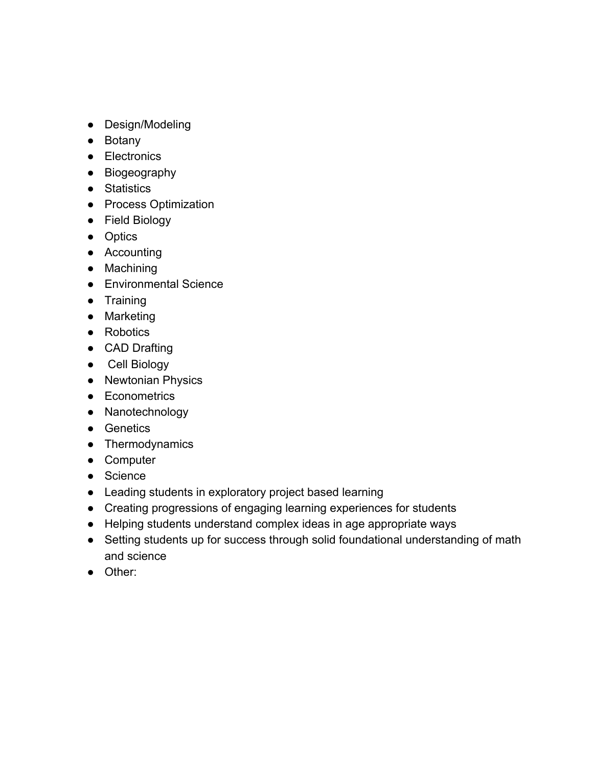- Design/Modeling
- Botany
- Electronics
- Biogeography
- Statistics
- Process Optimization
- Field Biology
- Optics
- Accounting
- Machining
- Environmental Science
- Training
- Marketing
- Robotics
- CAD Drafting
- Cell Biology
- Newtonian Physics
- Econometrics
- Nanotechnology
- Genetics
- Thermodynamics
- Computer
- Science
- Leading students in exploratory project based learning
- Creating progressions of engaging learning experiences for students
- Helping students understand complex ideas in age appropriate ways
- Setting students up for success through solid foundational understanding of math and science
- Other: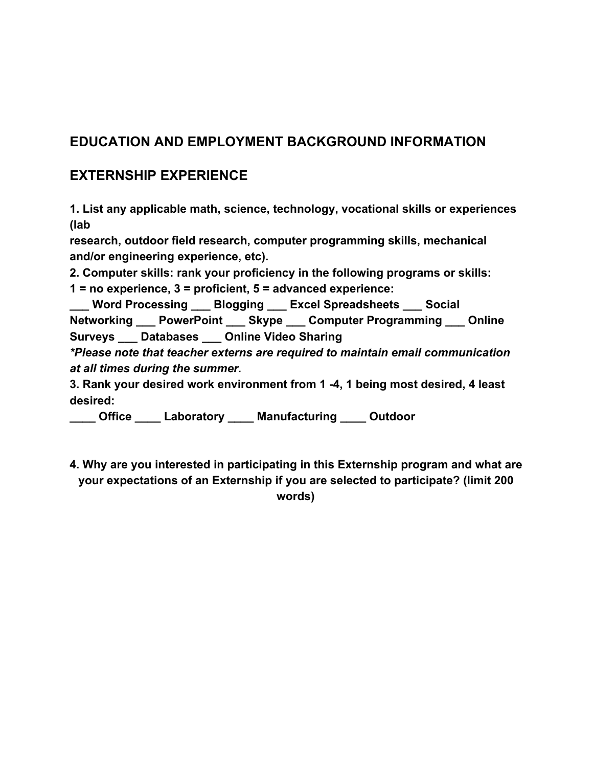### **EDUCATION AND EMPLOYMENT BACKGROUND INFORMATION**

### **EXTERNSHIP EXPERIENCE**

**1. List any applicable math, science, technology, vocational skills or experiences (lab** 

**research, outdoor field research, computer programming skills, mechanical and/or engineering experience, etc).** 

**2. Computer skills: rank your proficiency in the following programs or skills:** 

**1 = no experience, 3 = proficient, 5 = advanced experience:** 

**\_\_\_ Word Processing \_\_\_ Blogging \_\_\_ Excel Spreadsheets \_\_\_ Social Networking \_\_\_ PowerPoint \_\_\_ Skype \_\_\_ Computer Programming \_\_\_ Online Surveys \_\_\_ Databases \_\_\_ Online Video Sharing** 

*\*Please note that teacher externs are required to maintain email communication at all times during the summer.* 

**3. Rank your desired work environment from 1 -4, 1 being most desired, 4 least desired:** 

**\_\_\_\_ Office \_\_\_\_ Laboratory \_\_\_\_ Manufacturing \_\_\_\_ Outdoor** 

**4. Why are you interested in participating in this Externship program and what are your expectations of an Externship if you are selected to participate? (limit 200 words)**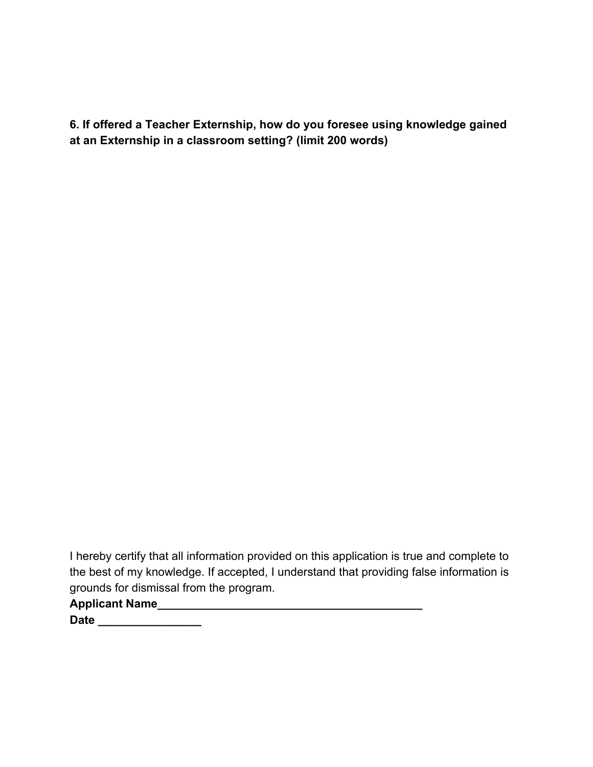**6. If offered a Teacher Externship, how do you foresee using knowledge gained at an Externship in a classroom setting? (limit 200 words)** 

I hereby certify that all information provided on this application is true and complete to the best of my knowledge. If accepted, I understand that providing false information is grounds for dismissal from the program.

**Applicant Name\_\_\_\_\_\_\_\_\_\_\_\_\_\_\_\_\_\_\_\_\_\_\_\_\_\_\_\_\_\_\_\_\_\_\_\_\_\_\_\_\_** 

**Date \_\_\_\_\_\_\_\_\_\_\_\_\_\_\_\_**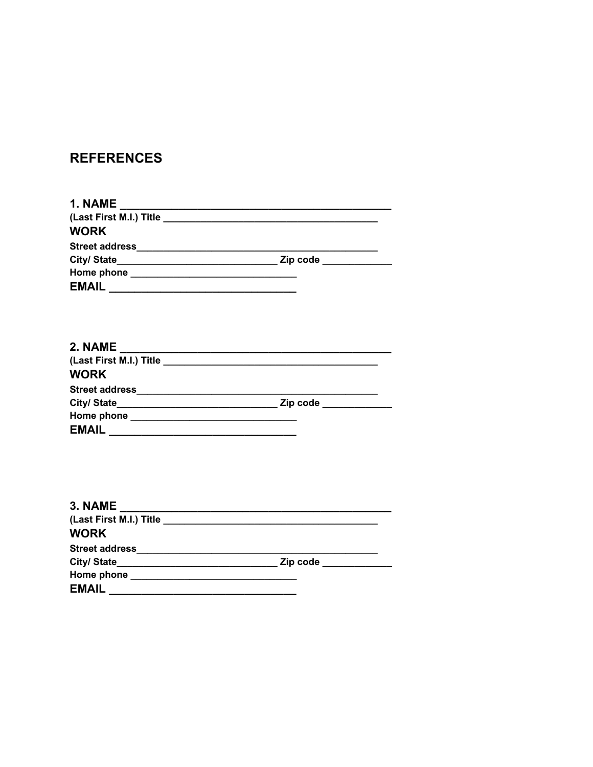## **REFERENCES**

| <b>WORK</b> |  |
|-------------|--|
|             |  |
|             |  |
|             |  |
|             |  |
|             |  |
|             |  |
| <b>WORK</b> |  |
|             |  |
|             |  |
|             |  |

| 3. NAME      |                       |
|--------------|-----------------------|
|              |                       |
| <b>WORK</b>  |                       |
|              |                       |
|              | Zip code ____________ |
|              |                       |
| <b>EMAIL</b> |                       |